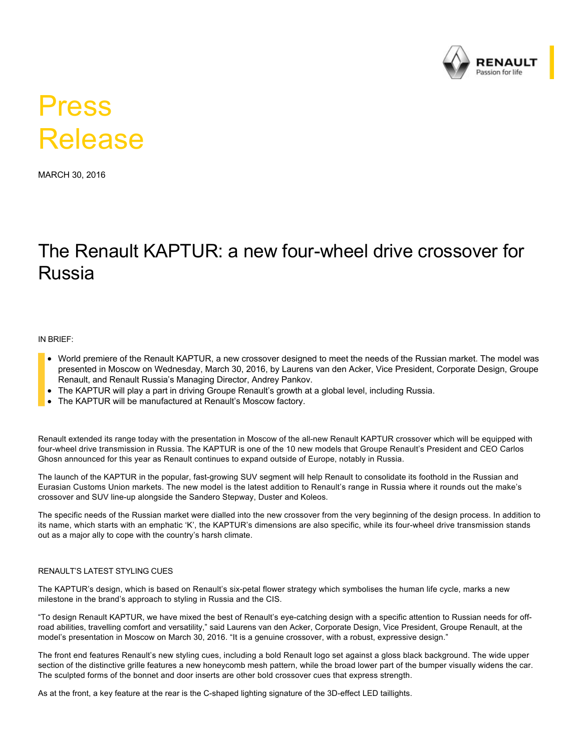

# Press Release

MARCH 30, 2016

# The Renault KAPTUR: a new four-wheel drive crossover for Russia

IN BRIEF:

- World premiere of the Renault KAPTUR, a new crossover designed to meet the needs of the Russian market. The model was presented in Moscow on Wednesday, March 30, 2016, by Laurens van den Acker, Vice President, Corporate Design, Groupe Renault, and Renault Russia's Managing Director, Andrey Pankov.
- The KAPTUR will play a part in driving Groupe Renault's growth at a global level, including Russia.
- The KAPTUR will be manufactured at Renault's Moscow factory.

Renault extended its range today with the presentation in Moscow of the all-new Renault KAPTUR crossover which will be equipped with four-wheel drive transmission in Russia. The KAPTUR is one of the 10 new models that Groupe Renault's President and CEO Carlos Ghosn announced for this year as Renault continues to expand outside of Europe, notably in Russia.

The launch of the KAPTUR in the popular, fast-growing SUV segment will help Renault to consolidate its foothold in the Russian and Eurasian Customs Union markets. The new model is the latest addition to Renault's range in Russia where it rounds out the make's crossover and SUV line-up alongside the Sandero Stepway, Duster and Koleos.

The specific needs of the Russian market were dialled into the new crossover from the very beginning of the design process. In addition to its name, which starts with an emphatic 'K', the KAPTUR's dimensions are also specific, while its four-wheel drive transmission stands out as a major ally to cope with the country's harsh climate.

#### RENAULT'S LATEST STYLING CUES

The KAPTUR's design, which is based on Renault's six-petal flower strategy which symbolises the human life cycle, marks a new milestone in the brand's approach to styling in Russia and the CIS.

"To design Renault KAPTUR, we have mixed the best of Renault's eye-catching design with a specific attention to Russian needs for offroad abilities, travelling comfort and versatility," said Laurens van den Acker, Corporate Design, Vice President, Groupe Renault, at the model's presentation in Moscow on March 30, 2016. "It is a genuine crossover, with a robust, expressive design."

The front end features Renault's new styling cues, including a bold Renault logo set against a gloss black background. The wide upper section of the distinctive grille features a new honeycomb mesh pattern, while the broad lower part of the bumper visually widens the car. The sculpted forms of the bonnet and door inserts are other bold crossover cues that express strength.

As at the front, a key feature at the rear is the C-shaped lighting signature of the 3D-effect LED taillights.